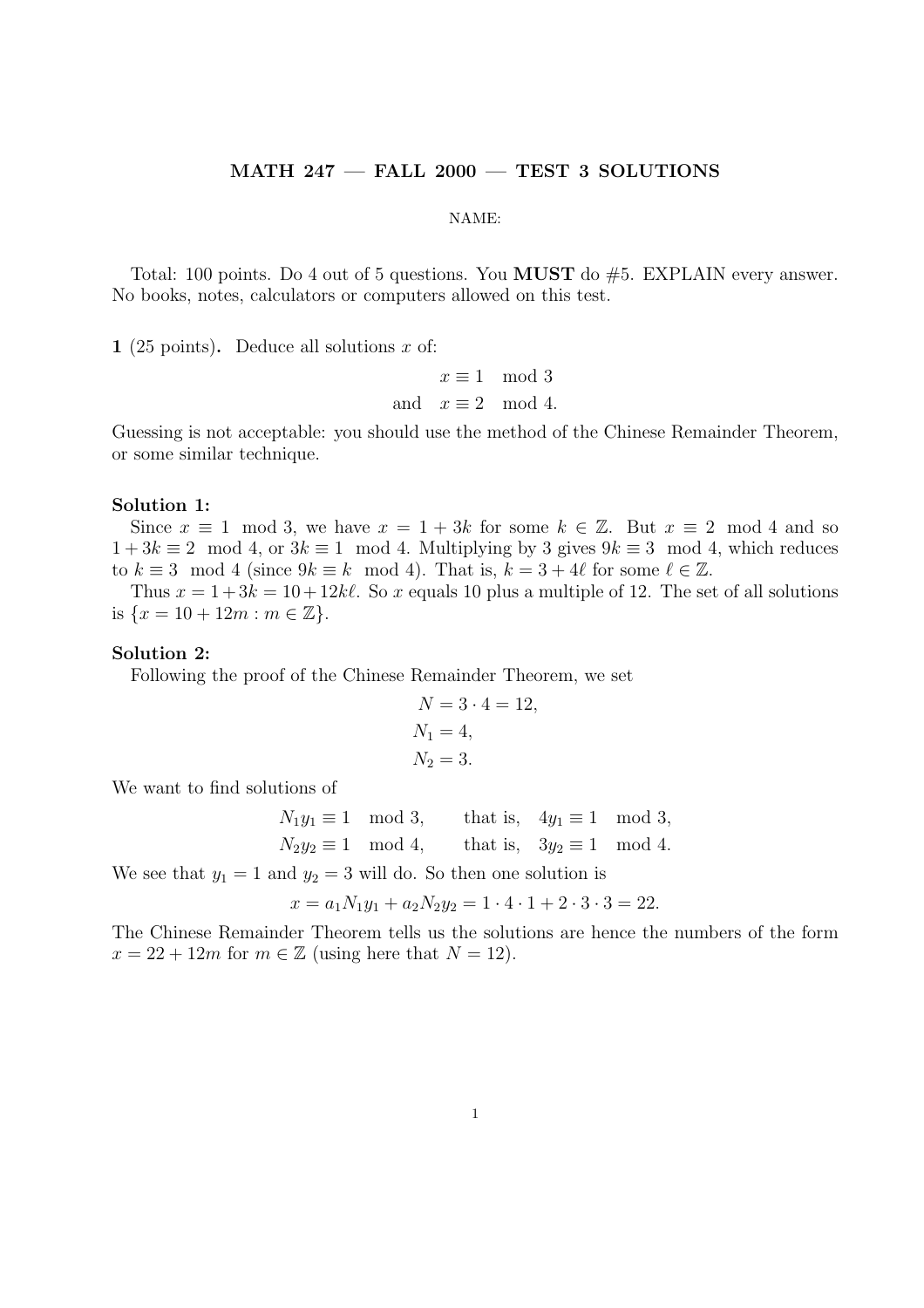# MATH 247 — FALL 2000 — TEST 3 SOLUTIONS

#### NAME:

Total: 100 points. Do 4 out of 5 questions. You MUST do #5. EXPLAIN every answer. No books, notes, calculators or computers allowed on this test.

1 (25 points). Deduce all solutions  $x$  of:

 $x \equiv 1 \mod 3$ and  $x \equiv 2 \mod 4$ .

Guessing is not acceptable: you should use the method of the Chinese Remainder Theorem, or some similar technique.

# Solution 1:

Since  $x \equiv 1 \mod 3$ , we have  $x = 1 + 3k$  for some  $k \in \mathbb{Z}$ . But  $x \equiv 2 \mod 4$  and so  $1+3k \equiv 2 \mod 4$ , or  $3k \equiv 1 \mod 4$ . Multiplying by 3 gives  $9k \equiv 3 \mod 4$ , which reduces to  $k \equiv 3 \mod 4$  (since  $9k \equiv k \mod 4$ ). That is,  $k = 3 + 4\ell$  for some  $\ell \in \mathbb{Z}$ .

Thus  $x = 1 + 3k = 10 + 12k\ell$ . So x equals 10 plus a multiple of 12. The set of all solutions is  $\{x = 10 + 12m : m \in \mathbb{Z}\}.$ 

#### Solution 2:

Following the proof of the Chinese Remainder Theorem, we set

$$
N = 3 \cdot 4 = 12, \nN_1 = 4, \nN_2 = 3.
$$

We want to find solutions of

$$
N_1y_1 \equiv 1 \mod 3
$$
, that is,  $4y_1 \equiv 1 \mod 3$ ,  
\n $N_2y_2 \equiv 1 \mod 4$ , that is,  $3y_2 \equiv 1 \mod 4$ .

We see that  $y_1 = 1$  and  $y_2 = 3$  will do. So then one solution is

$$
x = a_1 N_1 y_1 + a_2 N_2 y_2 = 1 \cdot 4 \cdot 1 + 2 \cdot 3 \cdot 3 = 22.
$$

The Chinese Remainder Theorem tells us the solutions are hence the numbers of the form  $x = 22 + 12m$  for  $m \in \mathbb{Z}$  (using here that  $N = 12$ ).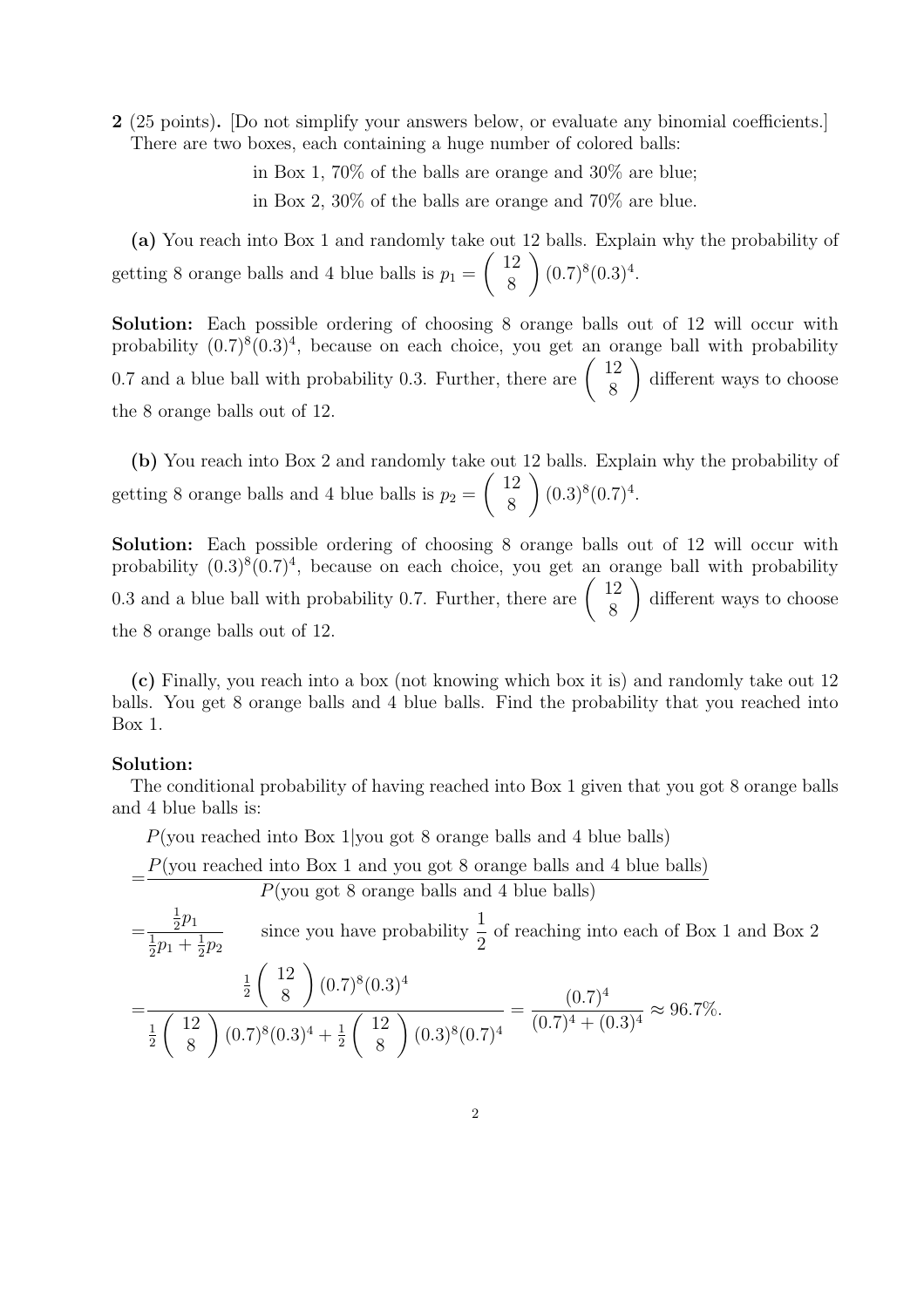2 (25 points). [Do not simplify your answers below, or evaluate any binomial coefficients.] There are two boxes, each containing a huge number of colored balls:

> in Box 1, 70% of the balls are orange and 30% are blue; in Box 2, 30% of the balls are orange and 70% are blue.

(a) You reach into Box 1 and randomly take out 12 balls. Explain why the probability of getting 8 orange balls and 4 blue balls is  $p_1 = \begin{pmatrix} 12 \\ 8 \end{pmatrix}$  $\binom{12}{8}$   $(0.7)^8(0.3)^4$ .

Solution: Each possible ordering of choosing 8 orange balls out of 12 will occur with probability  $(0.7)^8(0.3)^4$ , because on each choice, you get an orange ball with probability probability  $(0.7)^{8}(0.3)^{4}$ , because on each choice, you get an or<br>0.7 and a blue ball with probability 0.3. Further, there are  $\begin{pmatrix} 12 \\ 2 \end{pmatrix}$  $\begin{pmatrix} 2 \\ 8 \end{pmatrix}$  different ways to choose the 8 orange balls out of 12.

(b) You reach into Box 2 and randomly take out 12 balls. Explain why the probability of getting 8 orange balls and 4 blue balls is  $p_2 = \begin{pmatrix} 12 \\ 8 \end{pmatrix}$  $\binom{12}{8}$   $(0.3)^8 (0.7)^4$ .

Solution: Each possible ordering of choosing 8 orange balls out of 12 will occur with probability  $(0.3)^8(0.7)^4$ , because on each choice, you get an orange ball with probability probability  $(0.3)^{\circ}(0.7)^{2}$ , because on each choice, you get an or<br>0.3 and a blue ball with probability 0.7. Further, there are  $\begin{pmatrix} 12 \\ 8 \end{pmatrix}$  $\begin{pmatrix} 2 \\ 8 \end{pmatrix}$  different ways to choose the 8 orange balls out of 12.

(c) Finally, you reach into a box (not knowing which box it is) and randomly take out 12 balls. You get 8 orange balls and 4 blue balls. Find the probability that you reached into Box 1.

# Solution:

=

The conditional probability of having reached into Box 1 given that you got 8 orange balls and 4 blue balls is:

P(you reached into Box 1|you got 8 orange balls and 4 blue balls)

 $P$ (you reached into Box 1 and you got 8 orange balls and 4 blue balls)

$$
P
$$
(you got 8 orange balls and 4 blue balls)

$$
= \frac{\frac{1}{2}p_1}{\frac{1}{2}p_1 + \frac{1}{2}p_2}
$$
 since you have probability  $\frac{1}{2}$  of reaching into each of Box 1 and Box 2  

$$
= \frac{\frac{1}{2}\binom{12}{8}(0.7)^8(0.3)^4}{\frac{1}{2}\binom{12}{8}(0.7)^8(0.3)^4 + \frac{1}{2}\binom{12}{8}(0.3)^8(0.7)^4} = \frac{(0.7)^4}{(0.7)^4 + (0.3)^4} \approx 96.7\%.
$$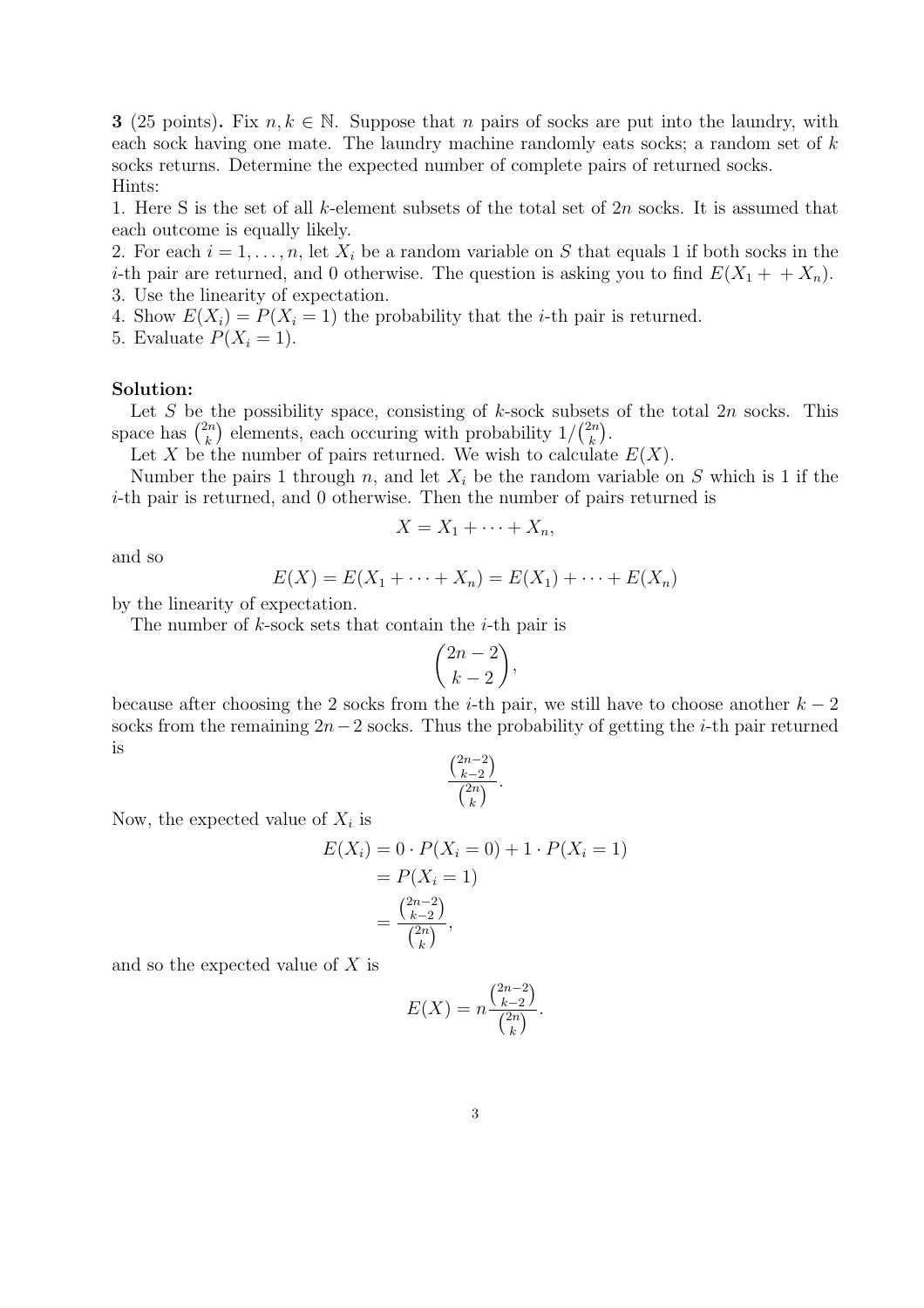**3** (25 points). Fix  $n, k \in \mathbb{N}$ . Suppose that n pairs of socks are put into the laundry, with each sock having one mate. The laundry machine randomly eats socks; a random set of k socks returns. Determine the expected number of complete pairs of returned socks. Hints:

1. Here S is the set of all k-element subsets of the total set of 2n socks. It is assumed that each outcome is equally likely.

2. For each  $i = 1, \ldots, n$ , let  $X_i$  be a random variable on S that equals 1 if both socks in the *i*-th pair are returned, and 0 otherwise. The question is asking you to find  $E(X_1 + + X_n)$ . 3. Use the linearity of expectation.

4. Show  $E(X_i) = P(X_i = 1)$  the probability that the *i*-th pair is returned.

5. Evaluate  $P(X_i = 1)$ .

### Solution:

Let S be the possibility space, consisting of k-sock subsets of the total 2n socks. This Let S be t<br>space has  $\binom{2n}{k}$  $\binom{2n}{k}$  elements, each occuring with probability  $1/\binom{2n}{k}$  $\binom{2n}{k}$ .

Let X be the number of pairs returned. We wish to calculate  $E(X)$ .

Number the pairs 1 through n, and let  $X_i$  be the random variable on S which is 1 if the i-th pair is returned, and 0 otherwise. Then the number of pairs returned is

$$
X = X_1 + \cdots + X_n,
$$

and so

$$
E(X) = E(X_1 + \dots + X_n) = E(X_1) + \dots + E(X_n)
$$

by the linearity of expectation.

The number of  $k$ -sock sets that contain the  $i$ -th pair is

$$
\binom{2n-2}{k-2},
$$

because after choosing the 2 socks from the *i*-th pair, we still have to choose another  $k-2$ socks from the remaining  $2n-2$  socks. Thus the probability of getting the *i*-th pair returned is ¡ ¢

$$
\frac{\binom{2n-2}{k-2}}{\binom{2n}{k}}.
$$

Now, the expected value of  $X_i$  is

$$
E(X_i) = 0 \cdot P(X_i = 0) + 1 \cdot P(X_i = 1)
$$
  
=  $P(X_i = 1)$   
=  $\frac{\binom{2n-2}{k-2}}{\binom{2n}{k}},$ 

and so the expected value of X is

$$
E(X) = n \frac{\binom{2n-2}{k-2}}{\binom{2n}{k}}.
$$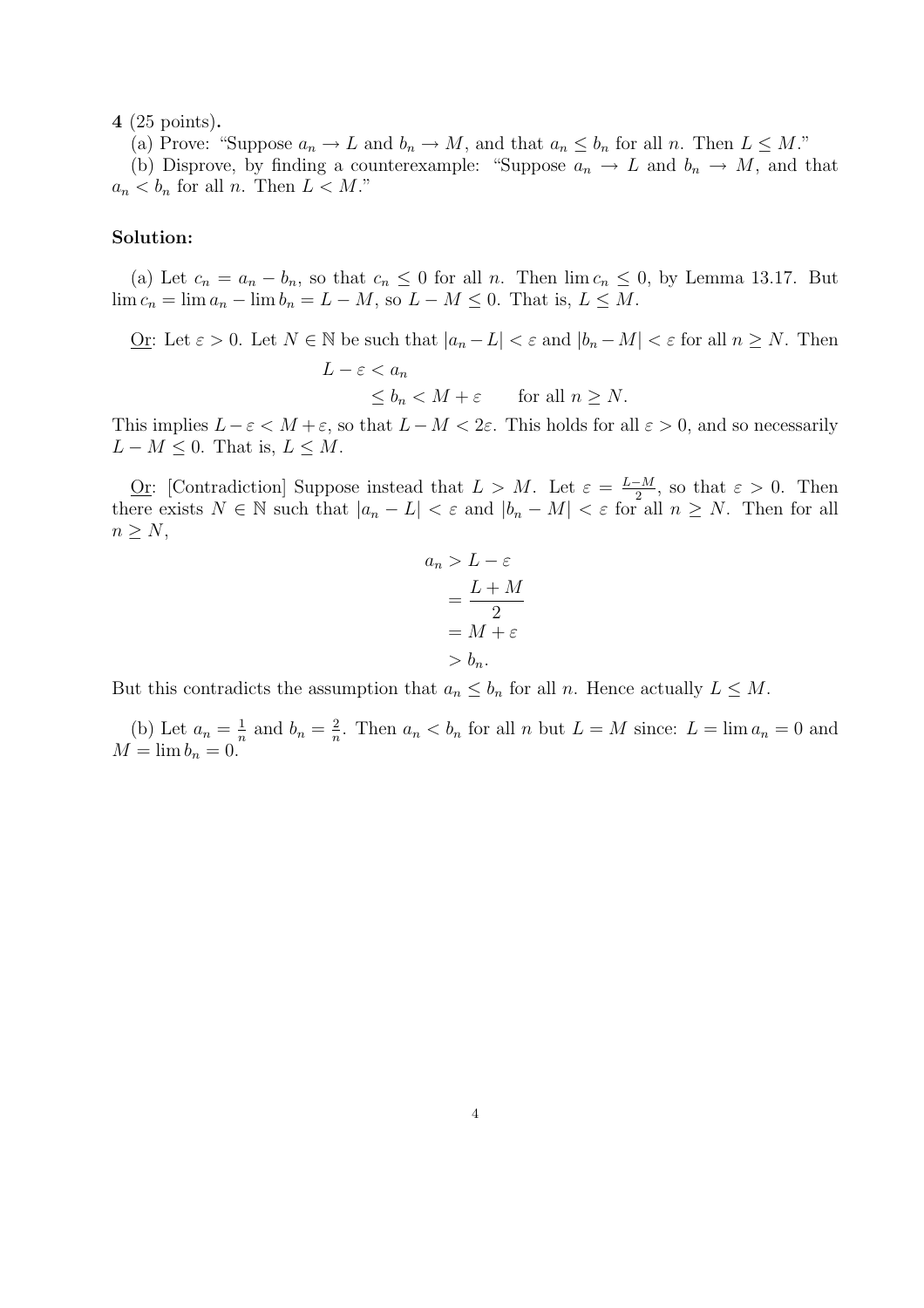4 (25 points).

(a) Prove: "Suppose  $a_n \to L$  and  $b_n \to M$ , and that  $a_n \leq b_n$  for all n. Then  $L \leq M$ ."

(b) Disprove, by finding a counterexample: "Suppose  $a_n \to L$  and  $b_n \to M$ , and that  $a_n < b_n$  for all n. Then  $L < M$ ."

### Solution:

(a) Let  $c_n = a_n - b_n$ , so that  $c_n \leq 0$  for all n. Then  $\lim c_n \leq 0$ , by Lemma 13.17. But  $\lim c_n = \lim a_n - \lim b_n = L - M$ , so  $L - M \leq 0$ . That is,  $L \leq M$ .

<u>Or</u>: Let  $\varepsilon > 0$ . Let  $N \in \mathbb{N}$  be such that  $|a_n - L| < \varepsilon$  and  $|b_n - M| < \varepsilon$  for all  $n \ge N$ . Then  $L - \varepsilon < a_n$  $\leq b_n \leq M + \varepsilon$  for all  $n \geq N$ .

This implies  $L - \varepsilon < M + \varepsilon$ , so that  $L - M < 2\varepsilon$ . This holds for all  $\varepsilon > 0$ , and so necessarily  $L - M \leq 0$ . That is,  $L \leq M$ .

<u>Or</u>: [Contradiction] Suppose instead that  $L > M$ . Let  $\varepsilon = \frac{L-M}{2}$  $\frac{-M}{2}$ , so that  $\varepsilon > 0$ . Then there exists  $N \in \mathbb{N}$  such that  $|a_n - L| < \varepsilon$  and  $|b_n - M| < \varepsilon$  for all  $n \ge N$ . Then for all  $n \geq N$ ,

$$
a_n > L - \varepsilon
$$
  
= 
$$
\frac{L+M}{2}
$$
  
= 
$$
M + \varepsilon
$$
  
> 
$$
b_n.
$$

But this contradicts the assumption that  $a_n \leq b_n$  for all n. Hence actually  $L \leq M$ .

(b) Let  $a_n = \frac{1}{n}$  $\frac{1}{n}$  and  $b_n = \frac{2}{n}$  $\frac{2}{n}$ . Then  $a_n < b_n$  for all n but  $L = M$  since:  $L = \lim a_n = 0$  and  $M = \lim b_n = 0.$